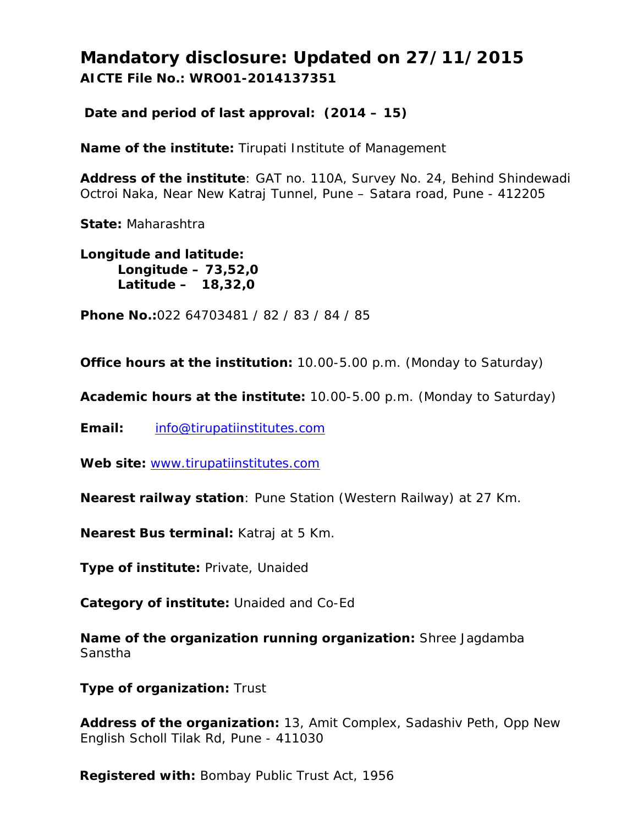**Mandatory disclosure: Updated on 27/11/2015 AICTE File No.: WRO01-2014137351**

**Date and period of last approval: (2014 – 15)**

**Name of the institute:** Tirupati Institute of Management

**Address of the institute**: GAT no. 110A, Survey No. 24, Behind Shindewadi Octroi Naka, Near New Katraj Tunnel, Pune – Satara road, Pune - 412205

**State:** Maharashtra

**Longitude and latitude: Longitude – 73,52,0 Latitude – 18,32,0**

**Phone No.:**022 64703481 / 82 / 83 / 84 / 85

**Office hours at the institution:** 10.00-5.00 p.m. (Monday to Saturday)

**Academic hours at the institute:** 10.00-5.00 p.m. (Monday to Saturday)

**Email:** info@tirupatiinstitutes.com

Web site: www.tirupatiinstitutes.com

**Nearest railway station**: Pune Station (Western Railway) at 27 Km.

**Nearest Bus terminal:** Katraj at 5 Km.

**Type of institute:** Private, Unaided

**Category of institute:** Unaided and Co-Ed

**Name of the organization running organization:** Shree Jagdamba Sanstha

**Type of organization:** Trust

**Address of the organization:** 13, Amit Complex, Sadashiv Peth, Opp New English Scholl Tilak Rd, Pune - 411030

**Registered with:** Bombay Public Trust Act, 1956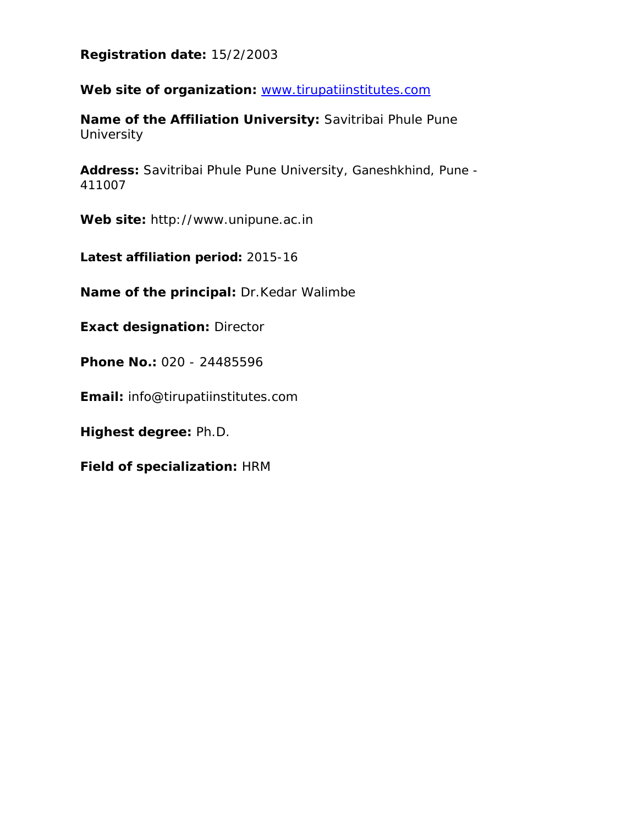**Registration date:** 15/2/2003

Web site of organization: www.tirupatiinstitutes.com

**Name of the Affiliation University:** Savitribai Phule Pune **University** 

**Address:** Savitribai Phule Pune University, Ganeshkhind, Pune - 411007

**Web site:** http://www.unipune.ac.in

**Latest affiliation period:** 2015-16

**Name of the principal:** Dr.Kedar Walimbe

**Exact designation:** Director

**Phone No.:** 020 - 24485596

**Email:** info@tirupatiinstitutes.com

**Highest degree:** Ph.D.

**Field of specialization:** HRM